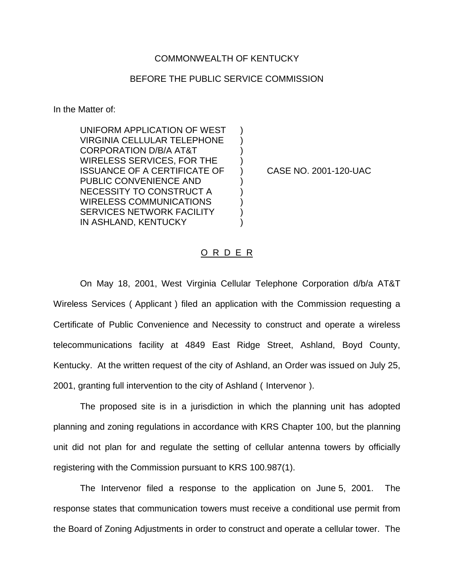## COMMONWEALTH OF KENTUCKY

## BEFORE THE PUBLIC SERVICE COMMISSION

In the Matter of:

UNIFORM APPLICATION OF WEST VIRGINIA CELLULAR TELEPHONE ) CORPORATION D/B/A AT&T WIRELESS SERVICES, FOR THE ) ISSUANCE OF A CERTIFICATE OF ) CASE NO. 2001-120-UAC PUBLIC CONVENIENCE AND ) NECESSITY TO CONSTRUCT A ) WIRELESS COMMUNICATIONS ) SERVICES NETWORK FACILITY IN ASHLAND, KENTUCKY

## O R D E R

On May 18, 2001, West Virginia Cellular Telephone Corporation d/b/a AT&T Wireless Services ( Applicant ) filed an application with the Commission requesting a Certificate of Public Convenience and Necessity to construct and operate a wireless telecommunications facility at 4849 East Ridge Street, Ashland, Boyd County, Kentucky. At the written request of the city of Ashland, an Order was issued on July 25, 2001, granting full intervention to the city of Ashland ( Intervenor ).

The proposed site is in a jurisdiction in which the planning unit has adopted planning and zoning regulations in accordance with KRS Chapter 100, but the planning unit did not plan for and regulate the setting of cellular antenna towers by officially registering with the Commission pursuant to KRS 100.987(1).

The Intervenor filed a response to the application on June 5, 2001. The response states that communication towers must receive a conditional use permit from the Board of Zoning Adjustments in order to construct and operate a cellular tower. The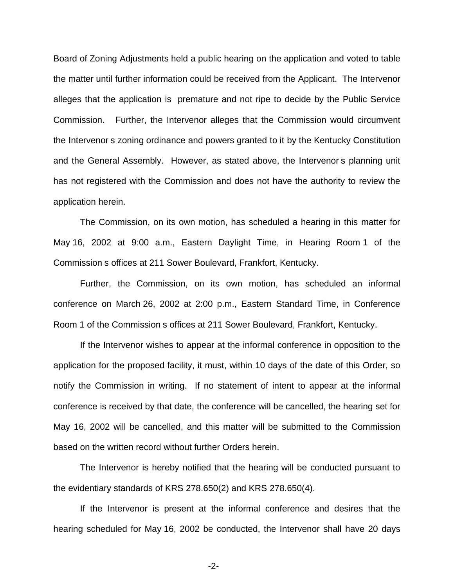Board of Zoning Adjustments held a public hearing on the application and voted to table the matter until further information could be received from the Applicant. The Intervenor alleges that the application is premature and not ripe to decide by the Public Service Commission. Further, the Intervenor alleges that the Commission would circumvent the Intervenor s zoning ordinance and powers granted to it by the Kentucky Constitution and the General Assembly. However, as stated above, the Intervenor s planning unit has not registered with the Commission and does not have the authority to review the application herein.

The Commission, on its own motion, has scheduled a hearing in this matter for May 16, 2002 at 9:00 a.m., Eastern Daylight Time, in Hearing Room 1 of the Commission s offices at 211 Sower Boulevard, Frankfort, Kentucky.

Further, the Commission, on its own motion, has scheduled an informal conference on March 26, 2002 at 2:00 p.m., Eastern Standard Time, in Conference Room 1 of the Commission s offices at 211 Sower Boulevard, Frankfort, Kentucky.

If the Intervenor wishes to appear at the informal conference in opposition to the application for the proposed facility, it must, within 10 days of the date of this Order, so notify the Commission in writing. If no statement of intent to appear at the informal conference is received by that date, the conference will be cancelled, the hearing set for May 16, 2002 will be cancelled, and this matter will be submitted to the Commission based on the written record without further Orders herein.

The Intervenor is hereby notified that the hearing will be conducted pursuant to the evidentiary standards of KRS 278.650(2) and KRS 278.650(4).

If the Intervenor is present at the informal conference and desires that the hearing scheduled for May 16, 2002 be conducted, the Intervenor shall have 20 days

-2-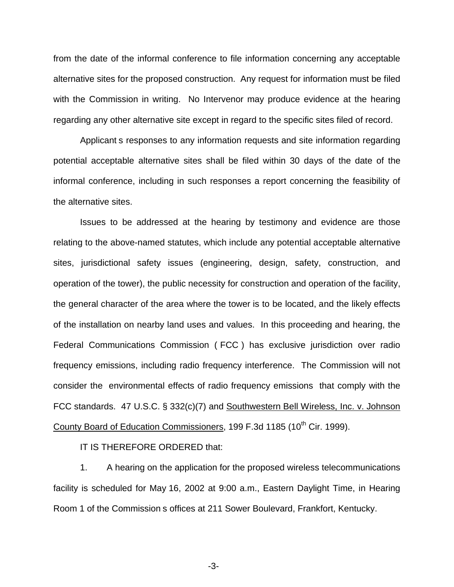from the date of the informal conference to file information concerning any acceptable alternative sites for the proposed construction. Any request for information must be filed with the Commission in writing. No Intervenor may produce evidence at the hearing regarding any other alternative site except in regard to the specific sites filed of record.

Applicant s responses to any information requests and site information regarding potential acceptable alternative sites shall be filed within 30 days of the date of the informal conference, including in such responses a report concerning the feasibility of the alternative sites.

Issues to be addressed at the hearing by testimony and evidence are those relating to the above-named statutes, which include any potential acceptable alternative sites, jurisdictional safety issues (engineering, design, safety, construction, and operation of the tower), the public necessity for construction and operation of the facility, the general character of the area where the tower is to be located, and the likely effects of the installation on nearby land uses and values. In this proceeding and hearing, the Federal Communications Commission ( FCC ) has exclusive jurisdiction over radio frequency emissions, including radio frequency interference. The Commission will not consider the environmental effects of radio frequency emissions that comply with the FCC standards. 47 U.S.C. § 332(c)(7) and Southwestern Bell Wireless, Inc. v. Johnson County Board of Education Commissioners, 199 F.3d 1185 (10<sup>th</sup> Cir. 1999).

IT IS THEREFORE ORDERED that:

1. A hearing on the application for the proposed wireless telecommunications facility is scheduled for May 16, 2002 at 9:00 a.m., Eastern Daylight Time, in Hearing Room 1 of the Commission s offices at 211 Sower Boulevard, Frankfort, Kentucky.

-3-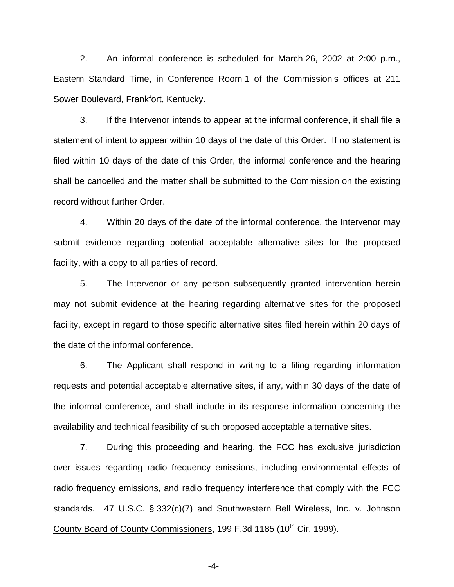2. An informal conference is scheduled for March 26, 2002 at 2:00 p.m., Eastern Standard Time, in Conference Room 1 of the Commission s offices at 211 Sower Boulevard, Frankfort, Kentucky.

3. If the Intervenor intends to appear at the informal conference, it shall file a statement of intent to appear within 10 days of the date of this Order. If no statement is filed within 10 days of the date of this Order, the informal conference and the hearing shall be cancelled and the matter shall be submitted to the Commission on the existing record without further Order.

4. Within 20 days of the date of the informal conference, the Intervenor may submit evidence regarding potential acceptable alternative sites for the proposed facility, with a copy to all parties of record.

5. The Intervenor or any person subsequently granted intervention herein may not submit evidence at the hearing regarding alternative sites for the proposed facility, except in regard to those specific alternative sites filed herein within 20 days of the date of the informal conference.

6. The Applicant shall respond in writing to a filing regarding information requests and potential acceptable alternative sites, if any, within 30 days of the date of the informal conference, and shall include in its response information concerning the availability and technical feasibility of such proposed acceptable alternative sites.

7. During this proceeding and hearing, the FCC has exclusive jurisdiction over issues regarding radio frequency emissions, including environmental effects of radio frequency emissions, and radio frequency interference that comply with the FCC standards. 47 U.S.C. § 332(c)(7) and Southwestern Bell Wireless, Inc. v. Johnson County Board of County Commissioners, 199 F.3d 1185 (10<sup>th</sup> Cir. 1999).

-4-